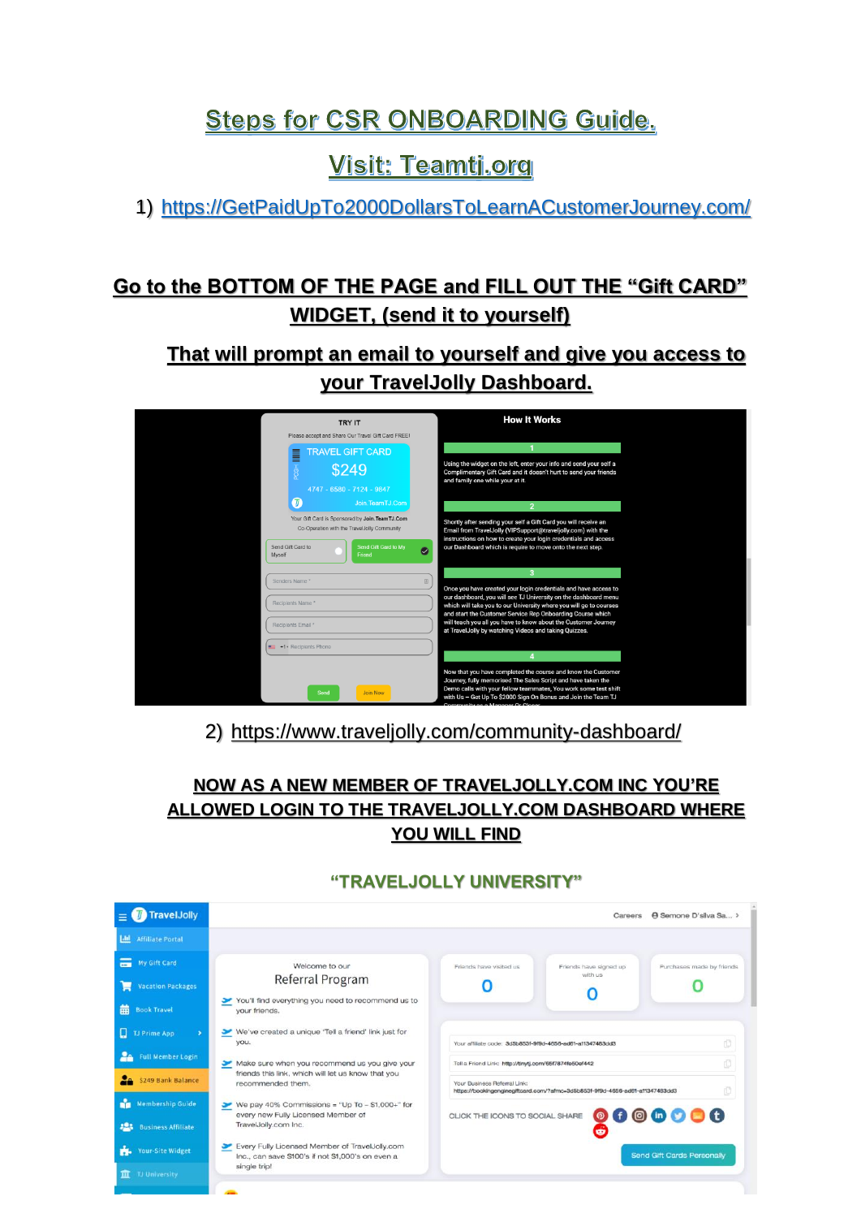# **Steps for CSR ONBOARDING Guide.**

# **Visit: Teamtj.org**

1) [https://GetPaidUpTo2000DollarsToLearnACustomerJourney.com/](https://getpaidupto2000dollarstolearnacustomerjourney.com/)

## **Go to the BOTTOM OF THE PAGE and FILL OUT THE "Gift CARD" WIDGET, (send it to yourself)**

**That will prompt an email to yourself and give you access to your TravelJolly Dashboard.**

| <b>TRY IT</b>                                                                                   |                                |           | <b>How It Works</b>                                                                                                                                                                                                                                              |
|-------------------------------------------------------------------------------------------------|--------------------------------|-----------|------------------------------------------------------------------------------------------------------------------------------------------------------------------------------------------------------------------------------------------------------------------|
| Please accept and Share Our Travel Gift Card FREE!                                              |                                |           |                                                                                                                                                                                                                                                                  |
| <b>TRAVEL GIFT CARD</b><br>≡                                                                    |                                |           |                                                                                                                                                                                                                                                                  |
|                                                                                                 | \$249                          |           | Using the widget on the left, enter your info and send your self a<br>Complimentary Gift Card and it doesn't hurt to send your friends<br>and family one while your at it.                                                                                       |
|                                                                                                 | 4747 - 6580 - 7124 - 9847      |           |                                                                                                                                                                                                                                                                  |
|                                                                                                 | Join.TeamTJ.Com                |           |                                                                                                                                                                                                                                                                  |
| Your Gift Card is Sponsored by Join. Team TJ.Com<br>Co-Operation with the TravelJolly Community |                                |           | Shortly after sending your self a Gift Card you will receive an<br>Email from TravelJolly (VIPSupport@traveljolly.com) with the<br>instructions on how to create your login credentials and access                                                               |
| Send Gift Card to<br>Myself                                                                     | Send Gift Card to My<br>Friend | $\bullet$ | our Dashboard which is require to move onto the next step.                                                                                                                                                                                                       |
| Senders Name <sup>x</sup>                                                                       |                                |           |                                                                                                                                                                                                                                                                  |
|                                                                                                 |                                |           | Once you have created your login credentials and have access to<br>our dashboard, you will see TJ University on the dashboard menu                                                                                                                               |
| Recipients Name *                                                                               |                                |           | which will take you to our University where you will go to courses                                                                                                                                                                                               |
| Recipients Email *                                                                              |                                |           | and start the Customer Service Rep Onboarding Course which<br>will teach you all you have to know about the Customer Journey                                                                                                                                     |
|                                                                                                 |                                |           | at TravelJolly by watching Videos and taking Quizzes.                                                                                                                                                                                                            |
| <b>Ed +1</b> Recipients Phone                                                                   |                                |           |                                                                                                                                                                                                                                                                  |
|                                                                                                 |                                |           |                                                                                                                                                                                                                                                                  |
|                                                                                                 | Send<br><b>Join Now</b>        |           | Now that you have completed the course and know the Customer<br>Journey, fully memorised The Sales Script and have taken the<br>Demo calls with your fellow teammates, You work some test shift<br>with Us - Get Up To \$2000 Sign On Bonus and Join the Team TJ |

#### 2) <https://www.traveljolly.com/community-dashboard/>

#### **NOW AS A NEW MEMBER OF TRAVELJOLLY.COM INC YOU'RE ALLOWED LOGIN TO THE TRAVELJOLLY.COM DASHBOARD WHERE YOU WILL FIND**

#### **"TRAVELJOLLY UNIVERSITY"**

| <b>TravelJolly</b>                         | A Semone D'sliva Sa ><br>Careers                                                                    |                                                                                                              |                        |                                                                             |  |  |  |  |
|--------------------------------------------|-----------------------------------------------------------------------------------------------------|--------------------------------------------------------------------------------------------------------------|------------------------|-----------------------------------------------------------------------------|--|--|--|--|
| L <sub>th</sub><br><b>Affiliate Portal</b> |                                                                                                     |                                                                                                              |                        |                                                                             |  |  |  |  |
| My Gift Card                               | Welcome to our                                                                                      | Friends have visited us                                                                                      | Friends have signed up | Purchases made by friends                                                   |  |  |  |  |
| <b>Vacation Packages</b>                   | Referral Program                                                                                    |                                                                                                              | with us                |                                                                             |  |  |  |  |
| 龠<br><b>Book Travel</b>                    | You'll find everything you need to recommend us to<br>your friends.                                 |                                                                                                              |                        |                                                                             |  |  |  |  |
| o<br>TJ Prime App                          | We've created a unique 'Tell a friend' link just for<br>you.                                        | đ<br>Your affiliate code: 3d5b853f-9f9d-4656-ad61-a11347483dd3                                               |                        |                                                                             |  |  |  |  |
| p.<br><b>Full Member Login</b>             | Make sure when you recommend us you give your                                                       | ſŪ<br>Tell a Friend Link: http://tinytj.com/65f7874fe50ef442                                                 |                        |                                                                             |  |  |  |  |
| \$249 Bank Balance                         | friends this link, which will let us know that you<br>recommended them.                             | Your Business Referral Link:<br>https://bookingenginegiftcard.com/?afmc=3d5b853f-9f9d-4656-ad6f-af1347483dd3 |                        |                                                                             |  |  |  |  |
| n.<br><b>Membership Guide</b>              | We pay 40% Commissions = "Up To $-$ \$1,000+" for<br>every new Fully Licensed Member of             | CLICK THE ICONS TO SOCIAL SHARE                                                                              |                        | $\begin{array}{c} \bullet\bullet\circ\bullet\circ\bullet\bullet\end{array}$ |  |  |  |  |
| 523<br><b>Business Affiliate</b>           | TravelJolly.com Inc.                                                                                |                                                                                                              |                        |                                                                             |  |  |  |  |
| rk.<br><b>Your-Site Widget</b>             | Every Fully Licensed Member of TravelJolly.com<br>Inc., can save \$100's if not \$1,000's on even a |                                                                                                              |                        | Send Gift Cards Personally                                                  |  |  |  |  |
| <b>TJ University</b><br>面                  | single trip!                                                                                        |                                                                                                              |                        |                                                                             |  |  |  |  |